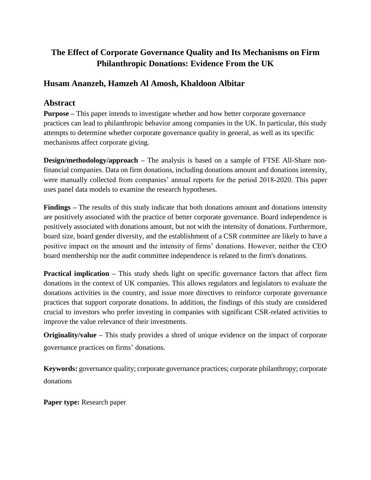# **The Effect of Corporate Governance Quality and Its Mechanisms on Firm Philanthropic Donations: Evidence From the UK**

## **Husam Ananzeh, Hamzeh Al Amosh, Khaldoon Albitar**

## **Abstract**

**Purpose –** This paper intends to investigate whether and how better corporate governance practices can lead to philanthropic behavior among companies in the UK. In particular, this study attempts to determine whether corporate governance quality in general, as well as its specific mechanisms affect corporate giving.

**Design/methodology/approach** – The analysis is based on a sample of FTSE All-Share nonfinancial companies. Data on firm donations, including donations amount and donations intensity, were manually collected from companies' annual reports for the period 2018-2020. This paper uses panel data models to examine the research hypotheses.

**Findings –** The results of this study indicate that both donations amount and donations intensity are positively associated with the practice of better corporate governance. Board independence is positively associated with donations amount, but not with the intensity of donations. Furthermore, board size, board gender diversity, and the establishment of a CSR committee are likely to have a positive impact on the amount and the intensity of firms' donations. However, neither the CEO board membership nor the audit committee independence is related to the firm's donations.

**Practical implication –** This study sheds light on specific governance factors that affect firm donations in the context of UK companies. This allows regulators and legislators to evaluate the donations activities in the country, and issue more directives to reinforce corporate governance practices that support corporate donations. In addition, the findings of this study are considered crucial to investors who prefer investing in companies with significant CSR-related activities to improve the value relevance of their investments.

**Originality/value –** This study provides a shred of unique evidence on the impact of corporate governance practices on firms' donations.

**Keywords:** governance quality; corporate governance practices; corporate philanthropy; corporate donations

**Paper type:** Research paper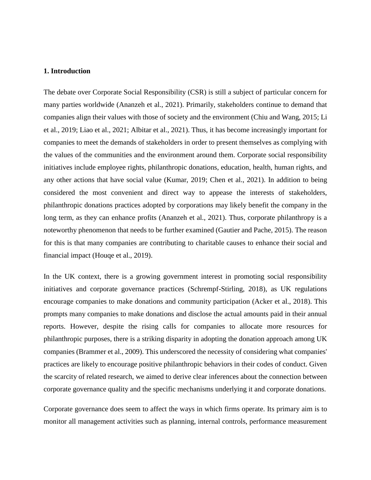## **1. Introduction**

The debate over Corporate Social Responsibility (CSR) is still a subject of particular concern for many parties worldwide (Ananzeh et al., 2021). Primarily, stakeholders continue to demand that companies align their values with those of society and the environment (Chiu and Wang, 2015; Li et al., 2019; Liao et al., 2021; Albitar et al., 2021). Thus, it has become increasingly important for companies to meet the demands of stakeholders in order to present themselves as complying with the values of the communities and the environment around them. Corporate social responsibility initiatives include employee rights, philanthropic donations, education, health, human rights, and any other actions that have social value (Kumar, 2019; Chen et al., 2021). In addition to being considered the most convenient and direct way to appease the interests of stakeholders, philanthropic donations practices adopted by corporations may likely benefit the company in the long term, as they can enhance profits (Ananzeh et al., 2021). Thus, corporate philanthropy is a noteworthy phenomenon that needs to be further examined (Gautier and Pache, 2015). The reason for this is that many companies are contributing to charitable causes to enhance their social and financial impact (Houqe et al., 2019).

In the UK context, there is a growing government interest in promoting social responsibility initiatives and corporate governance practices (Schrempf-Stirling, 2018), as UK regulations encourage companies to make donations and community participation (Acker et al., 2018). This prompts many companies to make donations and disclose the actual amounts paid in their annual reports. However, despite the rising calls for companies to allocate more resources for philanthropic purposes, there is a striking disparity in adopting the donation approach among UK companies (Brammer et al., 2009). This underscored the necessity of considering what companies' practices are likely to encourage positive philanthropic behaviors in their codes of conduct. Given the scarcity of related research, we aimed to derive clear inferences about the connection between corporate governance quality and the specific mechanisms underlying it and corporate donations.

Corporate governance does seem to affect the ways in which firms operate. Its primary aim is to monitor all management activities such as planning, internal controls, performance measurement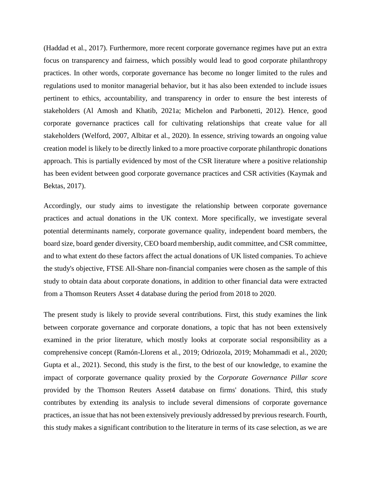(Haddad et al., 2017). Furthermore, more recent corporate governance regimes have put an extra focus on transparency and fairness, which possibly would lead to good corporate philanthropy practices. In other words, corporate governance has become no longer limited to the rules and regulations used to monitor managerial behavior, but it has also been extended to include issues pertinent to ethics, accountability, and transparency in order to ensure the best interests of stakeholders (Al Amosh and Khatib, 2021a; Michelon and Parbonetti, 2012). Hence, good corporate governance practices call for cultivating relationships that create value for all stakeholders (Welford, 2007, Albitar et al., 2020). In essence, striving towards an ongoing value creation model is likely to be directly linked to a more proactive corporate philanthropic donations approach. This is partially evidenced by most of the CSR literature where a positive relationship has been evident between good corporate governance practices and CSR activities (Kaymak and Bektas, 2017).

Accordingly, our study aims to investigate the relationship between corporate governance practices and actual donations in the UK context. More specifically, we investigate several potential determinants namely, corporate governance quality, independent board members, the board size, board gender diversity, CEO board membership, audit committee, and CSR committee, and to what extent do these factors affect the actual donations of UK listed companies. To achieve the study's objective, FTSE All-Share non-financial companies were chosen as the sample of this study to obtain data about corporate donations, in addition to other financial data were extracted from a Thomson Reuters Asset 4 database during the period from 2018 to 2020.

The present study is likely to provide several contributions. First, this study examines the link between corporate governance and corporate donations, a topic that has not been extensively examined in the prior literature, which mostly looks at corporate social responsibility as a comprehensive concept (Ramón-Llorens et al., 2019; Odriozola, 2019; Mohammadi et al., 2020; Gupta et al., 2021). Second, this study is the first, to the best of our knowledge, to examine the impact of corporate governance quality proxied by the *Corporate Governance Pillar score* provided by the Thomson Reuters Asset4 database on firms' donations. Third, this study contributes by extending its analysis to include several dimensions of corporate governance practices, an issue that has not been extensively previously addressed by previous research. Fourth, this study makes a significant contribution to the literature in terms of its case selection, as we are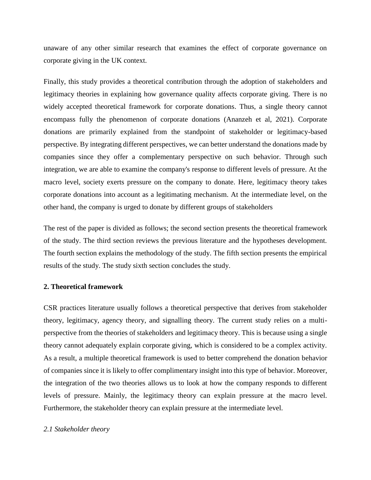unaware of any other similar research that examines the effect of corporate governance on corporate giving in the UK context.

Finally, this study provides a theoretical contribution through the adoption of stakeholders and legitimacy theories in explaining how governance quality affects corporate giving. There is no widely accepted theoretical framework for corporate donations. Thus, a single theory cannot encompass fully the phenomenon of corporate donations (Ananzeh et al, 2021). Corporate donations are primarily explained from the standpoint of stakeholder or legitimacy-based perspective. By integrating different perspectives, we can better understand the donations made by companies since they offer a complementary perspective on such behavior. Through such integration, we are able to examine the company's response to different levels of pressure. At the macro level, society exerts pressure on the company to donate. Here, legitimacy theory takes corporate donations into account as a legitimating mechanism. At the intermediate level, on the other hand, the company is urged to donate by different groups of stakeholders

The rest of the paper is divided as follows; the second section presents the theoretical framework of the study. The third section reviews the previous literature and the hypotheses development. The fourth section explains the methodology of the study. The fifth section presents the empirical results of the study. The study sixth section concludes the study.

## **2. Theoretical framework**

CSR practices literature usually follows a theoretical perspective that derives from stakeholder theory, legitimacy, agency theory, and signalling theory. The current study relies on a multiperspective from the theories of stakeholders and legitimacy theory. This is because using a single theory cannot adequately explain corporate giving, which is considered to be a complex activity. As a result, a multiple theoretical framework is used to better comprehend the donation behavior of companies since it is likely to offer complimentary insight into this type of behavior. Moreover, the integration of the two theories allows us to look at how the company responds to different levels of pressure. Mainly, the legitimacy theory can explain pressure at the macro level. Furthermore, the stakeholder theory can explain pressure at the intermediate level.

#### *2.1 Stakeholder theory*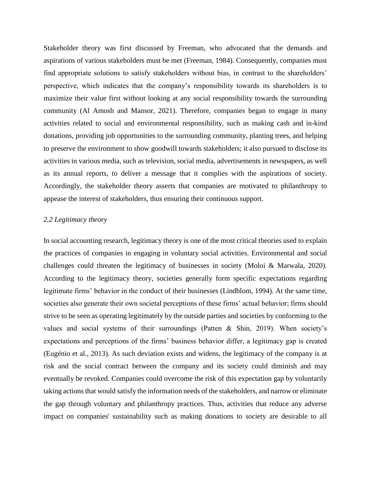Stakeholder theory was first discussed by Freeman, who advocated that the demands and aspirations of various stakeholders must be met (Freeman, 1984). Consequently, companies must find appropriate solutions to satisfy stakeholders without bias, in contrast to the shareholders' perspective, which indicates that the company's responsibility towards its shareholders is to maximize their value first without looking at any social responsibility towards the surrounding community (Al Amosh and Mansor, 2021). Therefore, companies began to engage in many activities related to social and environmental responsibility, such as making cash and in-kind donations, providing job opportunities to the surrounding community, planting trees, and helping to preserve the environment to show goodwill towards stakeholders; it also pursued to disclose its activities in various media, such as television, social media, advertisements in newspapers, as well as its annual reports, to deliver a message that it complies with the aspirations of society. Accordingly, the stakeholder theory asserts that companies are motivated to philanthropy to appease the interest of stakeholders, thus ensuring their continuous support.

## *2.2 Legitimacy theory*

In social accounting research, legitimacy theory is one of the most critical theories used to explain the practices of companies in engaging in voluntary social activities. Environmental and social challenges could threaten the legitimacy of businesses in society (Moloi & Marwala, 2020). According to the legitimacy theory, societies generally form specific expectations regarding legitimate firms' behavior in the conduct of their businesses (Lindblom, 1994). At the same time, societies also generate their own societal perceptions of these firms' actual behavior; firms should strive to be seen as operating legitimately by the outside parties and societies by conforming to the values and social systems of their surroundings (Patten & Shin, 2019). When society's expectations and perceptions of the firms' business behavior differ, a legitimacy gap is created (Eugénio et al., 2013). As such deviation exists and widens, the legitimacy of the company is at risk and the social contract between the company and its society could diminish and may eventually be revoked. Companies could overcome the risk of this expectation gap by voluntarily taking actions that would satisfy the information needs of the stakeholders, and narrow or eliminate the gap through voluntary and philanthropy practices. Thus, activities that reduce any adverse impact on companies' sustainability such as making donations to society are desirable to all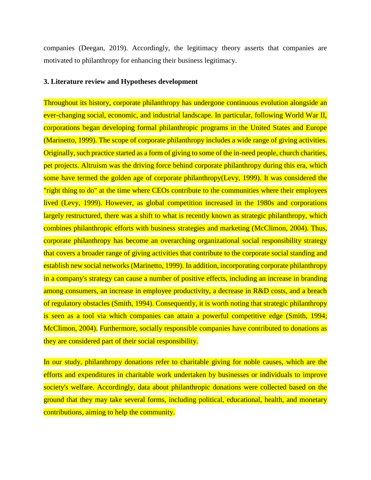companies (Deegan, 2019). Accordingly, the legitimacy theory asserts that companies are motivated to philanthropy for enhancing their business legitimacy.

## **3. Literature review and Hypotheses development**

Throughout its history, corporate philanthropy has undergone continuous evolution alongside an ever-changing social, economic, and industrial landscape. In particular, following World War II, corporations began developing formal philanthropic programs in the United States and Europe (Marinetto, 1999). The scope of corporate philanthropy includes a wide range of giving activities. Originally, such practice started as a form of giving to some of the in-need people, church charities, pet projects. Altruism was the driving force behind corporate philanthropy during this era, which some have termed the golden age of corporate philanthropy(Levy, 1999). It was considered the "right thing to do" at the time where CEOs contribute to the communities where their employees lived (Levy, 1999). However, as global competition increased in the 1980s and corporations largely restructured, there was a shift to what is recently known as strategic philanthropy, which combines philanthropic efforts with business strategies and marketing (McClimon, 2004). Thus, corporate philanthropy has become an overarching organizational social responsibility strategy that covers a broader range of giving activities that contribute to the corporate social standing and establish new social networks (Marinetto, 1999). In addition, incorporating corporate philanthropy in a company's strategy can cause a number of positive effects, including an increase in branding among consumers, an increase in employee productivity, a decrease in R&D costs, and a breach of regulatory obstacles (Smith, 1994). Consequently, it is worth noting that strategic philanthropy is seen as a tool via which companies can attain a powerful competitive edge (Smith, 1994; McClimon, 2004). Furthermore, socially responsible companies have contributed to donations as they are considered part of their social responsibility.

In our study, philanthropy donations refer to charitable giving for noble causes, which are the efforts and expenditures in charitable work undertaken by businesses or individuals to improve society's welfare. Accordingly, data about philanthropic donations were collected based on the ground that they may take several forms, including political, educational, health, and monetary contributions, aiming to help the community.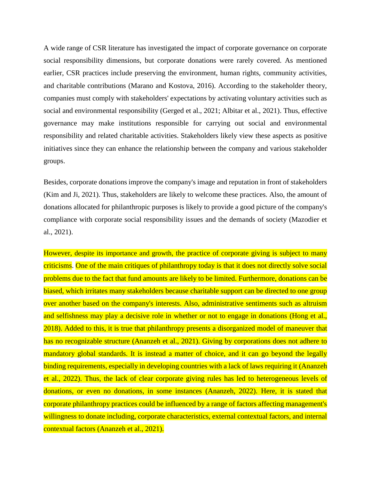A wide range of CSR literature has investigated the impact of corporate governance on corporate social responsibility dimensions, but corporate donations were rarely covered. As mentioned earlier, CSR practices include preserving the environment, human rights, community activities, and charitable contributions (Marano and Kostova, 2016). According to the stakeholder theory, companies must comply with stakeholders' expectations by activating voluntary activities such as social and environmental responsibility (Gerged et al., 2021; Albitar et al., 2021). Thus, effective governance may make institutions responsible for carrying out social and environmental responsibility and related charitable activities. Stakeholders likely view these aspects as positive initiatives since they can enhance the relationship between the company and various stakeholder groups.

Besides, corporate donations improve the company's image and reputation in front of stakeholders (Kim and Ji, 2021). Thus, stakeholders are likely to welcome these practices. Also, the amount of donations allocated for philanthropic purposes is likely to provide a good picture of the company's compliance with corporate social responsibility issues and the demands of society (Mazodier et al., 2021).

However, despite its importance and growth, the practice of corporate giving is subject to many criticisms. One of the main critiques of philanthropy today is that it does not directly solve social problems due to the fact that fund amounts are likely to be limited. Furthermore, donations can be biased, which irritates many stakeholders because charitable support can be directed to one group over another based on the company's interests. Also, administrative sentiments such as altruism and selfishness may play a decisive role in whether or not to engage in donations (Hong et al., 2018). Added to this, it is true that philanthropy presents a disorganized model of maneuver that has no recognizable structure (Ananzeh et al., 2021). Giving by corporations does not adhere to mandatory global standards. It is instead a matter of choice, and it can go beyond the legally binding requirements, especially in developing countries with a lack of laws requiring it (Ananzeh et al., 2022). Thus, the lack of clear corporate giving rules has led to heterogeneous levels of donations, or even no donations, in some instances (Ananzeh, 2022). Here, it is stated that corporate philanthropy practices could be influenced by a range of factors affecting management's willingness to donate including, corporate characteristics, external contextual factors, and internal contextual factors (Ananzeh et al., 2021).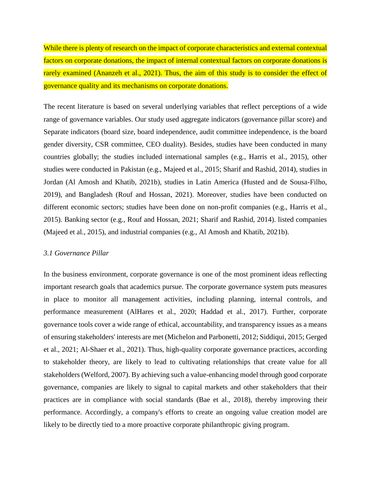While there is plenty of research on the impact of corporate characteristics and external contextual factors on corporate donations, the impact of internal contextual factors on corporate donations is rarely examined (Ananzeh et al., 2021). Thus, the aim of this study is to consider the effect of governance quality and its mechanisms on corporate donations.

The recent literature is based on several underlying variables that reflect perceptions of a wide range of governance variables. Our study used aggregate indicators (governance pillar score) and Separate indicators (board size, board independence, audit committee independence, is the board gender diversity, CSR committee, CEO duality). Besides, studies have been conducted in many countries globally; the studies included international samples (e.g., Harris et al., 2015), other studies were conducted in Pakistan (e.g., Majeed et al., 2015; Sharif and Rashid, 2014), studies in Jordan (Al Amosh and Khatib, 2021b), studies in Latin America (Husted and de Sousa-Filho, 2019), and Bangladesh (Rouf and Hossan, 2021). Moreover, studies have been conducted on different economic sectors; studies have been done on non-profit companies (e.g., Harris et al., 2015). Banking sector (e.g., Rouf and Hossan, 2021; Sharif and Rashid, 2014). listed companies (Majeed et al., 2015), and industrial companies (e.g., Al Amosh and Khatib, 2021b).

## *3.1 Governance Pillar*

In the business environment, corporate governance is one of the most prominent ideas reflecting important research goals that academics pursue. The corporate governance system puts measures in place to monitor all management activities, including planning, internal controls, and performance measurement (AlHares et al., 2020; Haddad et al., 2017). Further, corporate governance tools cover a wide range of ethical, accountability, and transparency issues as a means of ensuring stakeholders' interests are met (Michelon and Parbonetti, 2012; Siddiqui, 2015; Gerged et al., 2021; Al-Shaer et al., 2021). Thus, high-quality corporate governance practices, according to stakeholder theory, are likely to lead to cultivating relationships that create value for all stakeholders (Welford, 2007). By achieving such a value-enhancing model through good corporate governance, companies are likely to signal to capital markets and other stakeholders that their practices are in compliance with social standards (Bae et al., 2018), thereby improving their performance. Accordingly, a company's efforts to create an ongoing value creation model are likely to be directly tied to a more proactive corporate philanthropic giving program.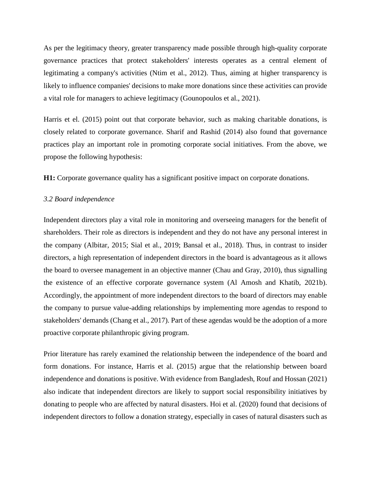As per the legitimacy theory, greater transparency made possible through high-quality corporate governance practices that protect stakeholders' interests operates as a central element of legitimating a company's activities (Ntim et al., 2012). Thus, aiming at higher transparency is likely to influence companies' decisions to make more donations since these activities can provide a vital role for managers to achieve legitimacy (Gounopoulos et al., 2021).

Harris et el. (2015) point out that corporate behavior, such as making charitable donations, is closely related to corporate governance. Sharif and Rashid (2014) also found that governance practices play an important role in promoting corporate social initiatives. From the above, we propose the following hypothesis:

**H1:** Corporate governance quality has a significant positive impact on corporate donations.

## *3.2 Board independence*

Independent directors play a vital role in monitoring and overseeing managers for the benefit of shareholders. Their role as directors is independent and they do not have any personal interest in the company (Albitar, 2015; Sial et al., 2019; Bansal et al., 2018). Thus, in contrast to insider directors, a high representation of independent directors in the board is advantageous as it allows the board to oversee management in an objective manner (Chau and Gray, 2010), thus signalling the existence of an effective corporate governance system (Al Amosh and Khatib, 2021b). Accordingly, the appointment of more independent directors to the board of directors may enable the company to pursue value-adding relationships by implementing more agendas to respond to stakeholders' demands (Chang et al., 2017). Part of these agendas would be the adoption of a more proactive corporate philanthropic giving program.

Prior literature has rarely examined the relationship between the independence of the board and form donations. For instance, Harris et al. (2015) argue that the relationship between board independence and donations is positive. With evidence from Bangladesh, Rouf and Hossan (2021) also indicate that independent directors are likely to support social responsibility initiatives by donating to people who are affected by natural disasters. Hoi et al. (2020) found that decisions of independent directors to follow a donation strategy, especially in cases of natural disasters such as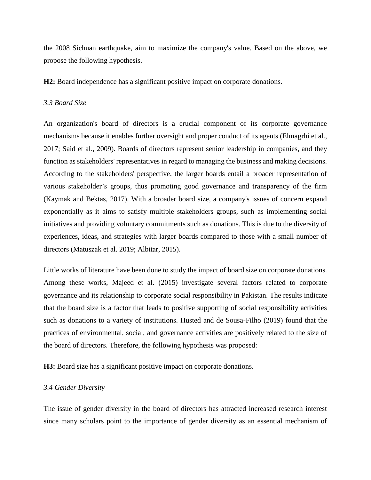the 2008 Sichuan earthquake, aim to maximize the company's value. Based on the above, we propose the following hypothesis.

**H2:** Board independence has a significant positive impact on corporate donations.

#### *3.3 Board Size*

An organization's board of directors is a crucial component of its corporate governance mechanisms because it enables further oversight and proper conduct of its agents (Elmagrhi et al., 2017; Said et al., 2009). Boards of directors represent senior leadership in companies, and they function as stakeholders' representatives in regard to managing the business and making decisions. According to the stakeholders' perspective, the larger boards entail a broader representation of various stakeholder's groups, thus promoting good governance and transparency of the firm (Kaymak and Bektas, 2017). With a broader board size, a company's issues of concern expand exponentially as it aims to satisfy multiple stakeholders groups, such as implementing social initiatives and providing voluntary commitments such as donations. This is due to the diversity of experiences, ideas, and strategies with larger boards compared to those with a small number of directors (Matuszak et al. 2019; Albitar, 2015).

Little works of literature have been done to study the impact of board size on corporate donations. Among these works, Majeed et al. (2015) investigate several factors related to corporate governance and its relationship to corporate social responsibility in Pakistan. The results indicate that the board size is a factor that leads to positive supporting of social responsibility activities such as donations to a variety of institutions. Husted and de Sousa-Filho (2019) found that the practices of environmental, social, and governance activities are positively related to the size of the board of directors. Therefore, the following hypothesis was proposed:

**H3:** Board size has a significant positive impact on corporate donations.

#### *3.4 Gender Diversity*

The issue of gender diversity in the board of directors has attracted increased research interest since many scholars point to the importance of gender diversity as an essential mechanism of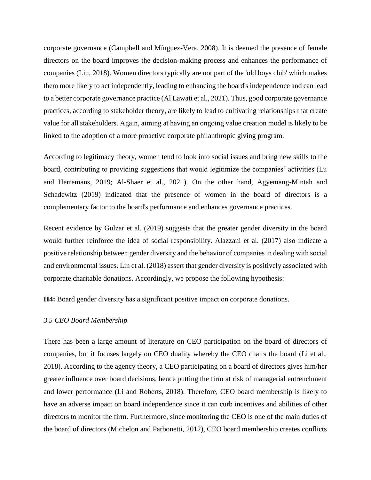corporate governance (Campbell and Mínguez-Vera, 2008). It is deemed the presence of female directors on the board improves the decision-making process and enhances the performance of companies (Liu, 2018). Women directors typically are not part of the 'old boys club' which makes them more likely to act independently, leading to enhancing the board's independence and can lead to a better corporate governance practice (Al Lawati et al., 2021). Thus, good corporate governance practices, according to stakeholder theory, are likely to lead to cultivating relationships that create value for all stakeholders. Again, aiming at having an ongoing value creation model is likely to be linked to the adoption of a more proactive corporate philanthropic giving program.

According to legitimacy theory, women tend to look into social issues and bring new skills to the board, contributing to providing suggestions that would legitimize the companies' activities (Lu and Herremans, 2019; Al-Shaer et al., 2021). On the other hand, Agyemang-Mintah and Schadewitz (2019) indicated that the presence of women in the board of directors is a complementary factor to the board's performance and enhances governance practices.

Recent evidence by Gulzar et al. (2019) suggests that the greater gender diversity in the board would further reinforce the idea of social responsibility. Alazzani et al. (2017) also indicate a positive relationship between gender diversity and the behavior of companies in dealing with social and environmental issues. Lin et al. (2018) assert that gender diversity is positively associated with corporate charitable donations. Accordingly, we propose the following hypothesis:

**H4:** Board gender diversity has a significant positive impact on corporate donations.

## *3.5 CEO Board Membership*

There has been a large amount of literature on CEO participation on the board of directors of companies, but it focuses largely on CEO duality whereby the CEO chairs the board (Li et al., 2018). According to the agency theory, a CEO participating on a board of directors gives him/her greater influence over board decisions, hence putting the firm at risk of managerial entrenchment and lower performance (Li and Roberts, 2018). Therefore, CEO board membership is likely to have an adverse impact on board independence since it can curb incentives and abilities of other directors to monitor the firm. Furthermore, since monitoring the CEO is one of the main duties of the board of directors (Michelon and Parbonetti, 2012), CEO board membership creates conflicts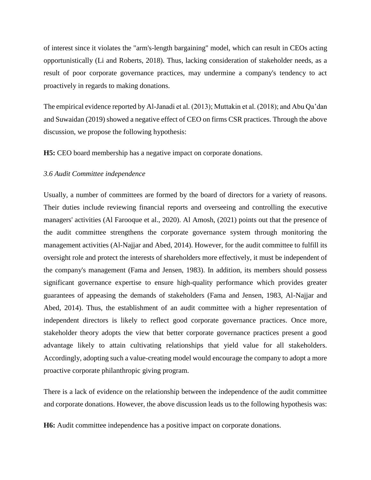of interest since it violates the "arm's-length bargaining" model, which can result in CEOs acting opportunistically (Li and Roberts, 2018). Thus, lacking consideration of stakeholder needs, as a result of poor corporate governance practices, may undermine a company's tendency to act proactively in regards to making donations.

The empirical evidence reported by Al-Janadi et al. (2013); Muttakin et al. (2018); and Abu Qa'dan and Suwaidan (2019) showed a negative effect of CEO on firms CSR practices. Through the above discussion, we propose the following hypothesis:

**H5:** CEO board membership has a negative impact on corporate donations.

## *3.6 Audit Committee independence*

Usually, a number of committees are formed by the board of directors for a variety of reasons. Their duties include reviewing financial reports and overseeing and controlling the executive managers' activities (Al Farooque et al., 2020). Al Amosh, (2021) points out that the presence of the audit committee strengthens the corporate governance system through monitoring the management activities (Al-Najjar and Abed, 2014). However, for the audit committee to fulfill its oversight role and protect the interests of shareholders more effectively, it must be independent of the company's management (Fama and Jensen, 1983). In addition, its members should possess significant governance expertise to ensure high-quality performance which provides greater guarantees of appeasing the demands of stakeholders (Fama and Jensen, 1983, Al-Najjar and Abed, 2014). Thus, the establishment of an audit committee with a higher representation of independent directors is likely to reflect good corporate governance practices. Once more, stakeholder theory adopts the view that better corporate governance practices present a good advantage likely to attain cultivating relationships that yield value for all stakeholders. Accordingly, adopting such a value-creating model would encourage the company to adopt a more proactive corporate philanthropic giving program.

There is a lack of evidence on the relationship between the independence of the audit committee and corporate donations. However, the above discussion leads us to the following hypothesis was:

**H6:** Audit committee independence has a positive impact on corporate donations.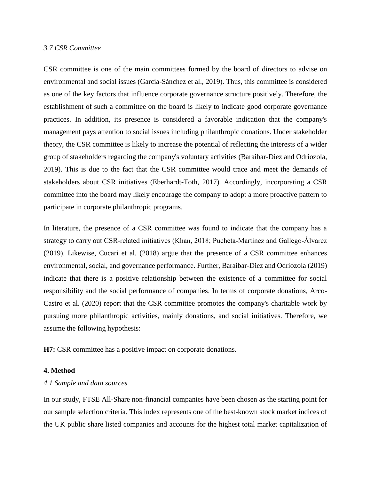## *3.7 CSR Committee*

CSR committee is one of the main committees formed by the board of directors to advise on environmental and social issues (García-Sánchez et al., 2019). Thus, this committee is considered as one of the key factors that influence corporate governance structure positively. Therefore, the establishment of such a committee on the board is likely to indicate good corporate governance practices. In addition, its presence is considered a favorable indication that the company's management pays attention to social issues including philanthropic donations. Under stakeholder theory, the CSR committee is likely to increase the potential of reflecting the interests of a wider group of stakeholders regarding the company's voluntary activities (Baraibar-Diez and Odriozola, 2019). This is due to the fact that the CSR committee would trace and meet the demands of stakeholders about CSR initiatives (Eberhardt-Toth, 2017). Accordingly, incorporating a CSR committee into the board may likely encourage the company to adopt a more proactive pattern to participate in corporate philanthropic programs.

In literature, the presence of a CSR committee was found to indicate that the company has a strategy to carry out CSR-related initiatives (Khan, 2018; Pucheta‐Martínez and Gallego‐Álvarez (2019). Likewise, Cucari et al. (2018) argue that the presence of a CSR committee enhances environmental, social, and governance performance. Further, Baraibar-Diez and Odriozola (2019) indicate that there is a positive relationship between the existence of a committee for social responsibility and the social performance of companies. In terms of corporate donations, Arco-Castro et al. (2020) report that the CSR committee promotes the company's charitable work by pursuing more philanthropic activities, mainly donations, and social initiatives. Therefore, we assume the following hypothesis:

**H7:** CSR committee has a positive impact on corporate donations.

#### **4. Method**

## *4.1 Sample and data sources*

In our study, FTSE All-Share non-financial companies have been chosen as the starting point for our sample selection criteria. This index represents one of the best-known stock market indices of the UK public share listed companies and accounts for the highest total market capitalization of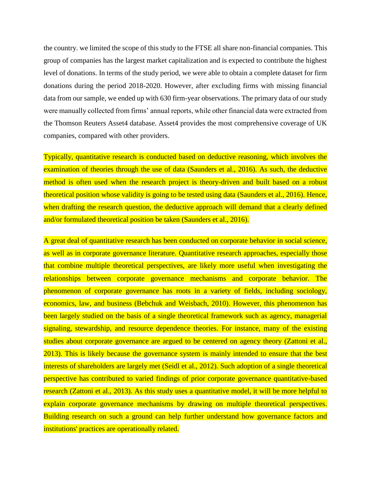the country. we limited the scope of this study to the FTSE all share non-financial companies. This group of companies has the largest market capitalization and is expected to contribute the highest level of donations. In terms of the study period, we were able to obtain a complete dataset for firm donations during the period 2018-2020. However, after excluding firms with missing financial data from our sample, we ended up with 630 firm-year observations. The primary data of our study were manually collected from firms' annual reports, while other financial data were extracted from the Thomson Reuters Asset4 database. Asset4 provides the most comprehensive coverage of UK companies, compared with other providers.

Typically, quantitative research is conducted based on deductive reasoning, which involves the examination of theories through the use of data (Saunders et al., 2016). As such, the deductive method is often used when the research project is theory-driven and built based on a robust theoretical position whose validity is going to be tested using data (Saunders et al., 2016). Hence, when drafting the research question, the deductive approach will demand that a clearly defined and/or formulated theoretical position be taken (Saunders et al., 2016).

A great deal of quantitative research has been conducted on corporate behavior in social science, as well as in corporate governance literature. Quantitative research approaches, especially those that combine multiple theoretical perspectives, are likely more useful when investigating the relationships between corporate governance mechanisms and corporate behavior. The phenomenon of corporate governance has roots in a variety of fields, including sociology, economics, law, and business (Bebchuk and Weisbach, 2010). However, this phenomenon has been largely studied on the basis of a single theoretical framework such as agency, managerial signaling, stewardship, and resource dependence theories. For instance, many of the existing studies about corporate governance are argued to be centered on agency theory (Zattoni et al., 2013). This is likely because the governance system is mainly intended to ensure that the best interests of shareholders are largely met (Seidl et al., 2012). Such adoption of a single theoretical perspective has contributed to varied findings of prior corporate governance quantitative-based research (Zattoni et al., 2013). As this study uses a quantitative model, it will be more helpful to explain corporate governance mechanisms by drawing on multiple theoretical perspectives. Building research on such a ground can help further understand how governance factors and institutions' practices are operationally related.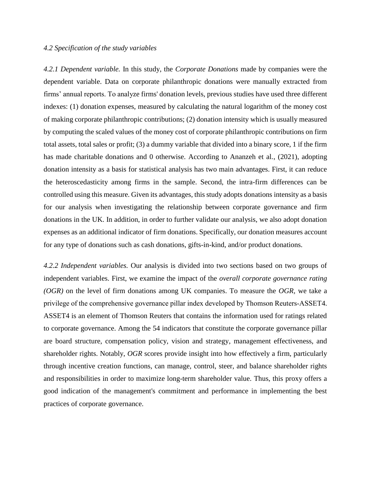## *4.2 Specification of the study variables*

*4.2.1 Dependent variable.* In this study, the *Corporate Donations* made by companies were the dependent variable. Data on corporate philanthropic donations were manually extracted from firms' annual reports. To analyze firms' donation levels, previous studies have used three different indexes: (1) donation expenses, measured by calculating the natural logarithm of the money cost of making corporate philanthropic contributions; (2) donation intensity which is usually measured by computing the scaled values of the money cost of corporate philanthropic contributions on firm total assets, total sales or profit; (3) a dummy variable that divided into a binary score, 1 if the firm has made charitable donations and 0 otherwise. According to Ananzeh et al., (2021), adopting donation intensity as a basis for statistical analysis has two main advantages. First, it can reduce the heteroscedasticity among firms in the sample. Second, the intra-firm differences can be controlled using this measure. Given its advantages, this study adopts donations intensity as a basis for our analysis when investigating the relationship between corporate governance and firm donations in the UK. In addition, in order to further validate our analysis, we also adopt donation expenses as an additional indicator of firm donations. Specifically, our donation measures account for any type of donations such as cash donations, gifts-in-kind, and/or product donations.

*4.2.2 Independent variables.* Our analysis is divided into two sections based on two groups of independent variables. First, we examine the impact of the *overall corporate governance rating (OGR)* on the level of firm donations among UK companies. To measure the *OGR,* we take a privilege of the comprehensive governance pillar index developed by Thomson Reuters‐ASSET4. ASSET4 is an element of Thomson Reuters that contains the information used for ratings related to corporate governance. Among the 54 indicators that constitute the corporate governance pillar are board structure, compensation policy, vision and strategy, management effectiveness, and shareholder rights. Notably, *OGR* scores provide insight into how effectively a firm, particularly through incentive creation functions, can manage, control, steer, and balance shareholder rights and responsibilities in order to maximize long-term shareholder value. Thus, this proxy offers a good indication of the management's commitment and performance in implementing the best practices of corporate governance.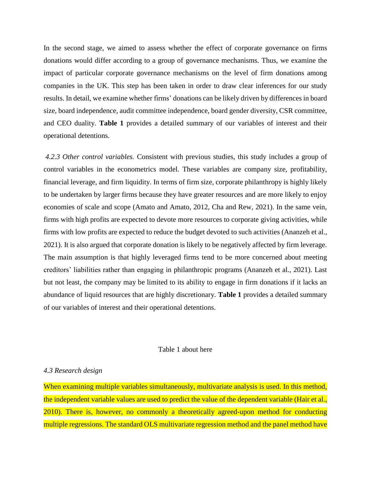In the second stage, we aimed to assess whether the effect of corporate governance on firms donations would differ according to a group of governance mechanisms. Thus, we examine the impact of particular corporate governance mechanisms on the level of firm donations among companies in the UK. This step has been taken in order to draw clear inferences for our study results. In detail, we examine whether firms' donations can be likely driven by differences in board size, board independence, audit committee independence, board gender diversity, CSR committee, and CEO duality. **Table 1** provides a detailed summary of our variables of interest and their operational detentions.

*4.2.3 Other control variables.* Consistent with previous studies, this study includes a group of control variables in the econometrics model. These variables are company size, profitability, financial leverage, and firm liquidity. In terms of firm size, corporate philanthropy is highly likely to be undertaken by larger firms because they have greater resources and are more likely to enjoy economies of scale and scope (Amato and Amato, 2012, Cha and Rew, 2021). In the same vein, firms with high profits are expected to devote more resources to corporate giving activities, while firms with low profits are expected to reduce the budget devoted to such activities (Ananzeh et al., 2021). It is also argued that corporate donation is likely to be negatively affected by firm leverage. The main assumption is that highly leveraged firms tend to be more concerned about meeting creditors' liabilities rather than engaging in philanthropic programs (Ananzeh et al., 2021). Last but not least, the company may be limited to its ability to engage in firm donations if it lacks an abundance of liquid resources that are highly discretionary. **Table 1** provides a detailed summary of our variables of interest and their operational detentions.

#### Table 1 about here

## *4.3 Research design*

When examining multiple variables simultaneously, multivariate analysis is used. In this method, the independent variable values are used to predict the value of the dependent variable (Hair et al., 2010). There is, however, no commonly a theoretically agreed-upon method for conducting multiple regressions. The standard OLS multivariate regression method and the panel method have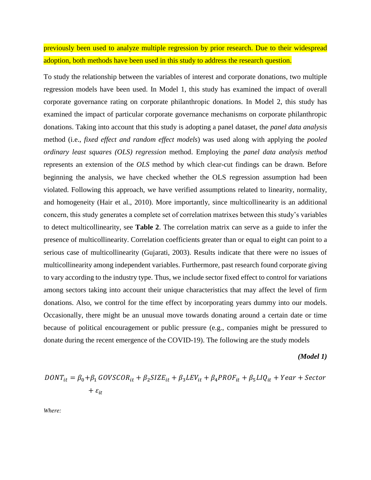previously been used to analyze multiple regression by prior research. Due to their widespread adoption, both methods have been used in this study to address the research question.

To study the relationship between the variables of interest and corporate donations, two multiple regression models have been used. In Model 1, this study has examined the impact of overall corporate governance rating on corporate philanthropic donations. In Model 2, this study has examined the impact of particular corporate governance mechanisms on corporate philanthropic donations. Taking into account that this study is adopting a panel dataset, the *panel data analysis*  method (i.e., *fixed effect and random effect models*) was used along with applying the *pooled ordinary least squares (OLS) regression* method. Employing the *panel data analysis method*  represents an extension of the *OLS* method by which clear-cut findings can be drawn. Before beginning the analysis, we have checked whether the OLS regression assumption had been violated. Following this approach, we have verified assumptions related to linearity, normality, and homogeneity (Hair et al., 2010). More importantly, since multicollinearity is an additional concern, this study generates a complete set of correlation matrixes between this study's variables to detect multicollinearity, see **Table 2**. The correlation matrix can serve as a guide to infer the presence of multicollinearity. Correlation coefficients greater than or equal to eight can point to a serious case of multicollinearity (Gujarati, 2003). Results indicate that there were no issues of multicollinearity among independent variables. Furthermore, past research found corporate giving to vary according to the industry type. Thus, we include sector fixed effect to control for variations among sectors taking into account their unique characteristics that may affect the level of firm donations. Also, we control for the time effect by incorporating years dummy into our models. Occasionally, there might be an unusual move towards donating around a certain date or time because of political encouragement or public pressure (e.g., companies might be pressured to donate during the recent emergence of the COVID-19). The following are the study models

*(Model 1)*

$$
DONT_{it} = \beta_0 + \beta_1 GOVSCOR_{it} + \beta_2 SIZE_{it} + \beta_3 LEV_{it} + \beta_4 PROF_{it} + \beta_5 LIQ_{it} + Year + Sector
$$
  
+  $\varepsilon_{it}$ 

*Where:*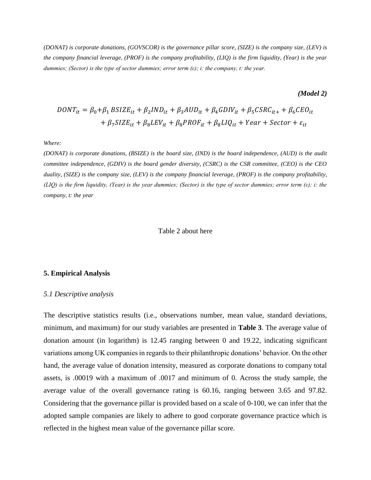*(DONAT) is corporate donations, (GOVSCOR) is the governance pillar score, (SIZE) is the company size, (LEV) is the company financial leverage, (PROF) is the company profitability, (LIQ) is the firm liquidity, (Year) is the year dummies; (Sector) is the type of sector dummies; error term (ε); i: the company, t: the year.*

*(Model 2)*

$$
DONT_{it} = \beta_0 + \beta_1 BSIZE_{it} + \beta_2 IND_{it} + \beta_3 AUD_{it} + \beta_4 GDIV_{it} + \beta_5CSR_{it} + \beta_6 CEO_{it}
$$

$$
+ \beta_7 SIZE_{it} + \beta_8 LEV_{it} + \beta_8 PROF_{it} + \beta_8 LIQ_{it} + Year + Sector + \varepsilon_{it}
$$

#### *Where:*

*(DONAT) is corporate donations, (BSIZE) is the board size, (IND) is the board independence, (AUD) is the audit committee independence, (GDIV) is the board gender diversity, (CSRC) is the CSR committee, (CEO) is the CEO duality, (SIZE) is the company size, (LEV) is the company financial leverage, (PROF) is the company profitability, (LIQ) is the firm liquidity, (Year) is the year dummies; (Sector) is the type of sector dummies; error term (ε); i: the company, t: the year*

#### Table 2 about here

#### **5. Empirical Analysis**

#### *5.1 Descriptive analysis*

The descriptive statistics results (i.e., observations number, mean value, standard deviations, minimum, and maximum) for our study variables are presented in **Table 3**. The average value of donation amount (in logarithm) is 12.45 ranging between 0 and 19.22, indicating significant variations among UK companies in regards to their philanthropic donations' behavior. On the other hand, the average value of donation intensity, measured as corporate donations to company total assets, is .00019 with a maximum of .0017 and minimum of 0. Across the study sample, the average value of the overall governance rating is 60.16, ranging between 3.65 and 97.82. Considering that the governance pillar is provided based on a scale of 0-100, we can infer that the adopted sample companies are likely to adhere to good corporate governance practice which is reflected in the highest mean value of the governance pillar score.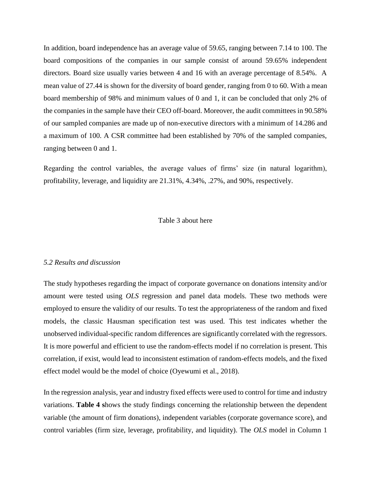In addition, board independence has an average value of 59.65, ranging between 7.14 to 100. The board compositions of the companies in our sample consist of around 59.65% independent directors. Board size usually varies between 4 and 16 with an average percentage of 8.54%. A mean value of 27.44 is shown for the diversity of board gender, ranging from 0 to 60. With a mean board membership of 98% and minimum values of 0 and 1, it can be concluded that only 2% of the companies in the sample have their CEO off-board. Moreover, the audit committees in 90.58% of our sampled companies are made up of non-executive directors with a minimum of 14.286 and a maximum of 100. A CSR committee had been established by 70% of the sampled companies, ranging between 0 and 1.

Regarding the control variables, the average values of firms' size (in natural logarithm), profitability, leverage, and liquidity are 21.31%, 4.34%, .27%, and 90%, respectively.

## Table 3 about here

#### *5.2 Results and discussion*

The study hypotheses regarding the impact of corporate governance on donations intensity and/or amount were tested using *OLS* regression and panel data models. These two methods were employed to ensure the validity of our results. To test the appropriateness of the random and fixed models, the classic Hausman specification test was used. This test indicates whether the unobserved individual-specific random differences are significantly correlated with the regressors. It is more powerful and efficient to use the random-effects model if no correlation is present. This correlation, if exist, would lead to inconsistent estimation of random-effects models, and the fixed effect model would be the model of choice (Oyewumi et al., 2018).

In the regression analysis, year and industry fixed effects were used to control for time and industry variations. **Table 4 s**hows the study findings concerning the relationship between the dependent variable (the amount of firm donations), independent variables (corporate governance score), and control variables (firm size, leverage, profitability, and liquidity). The *OLS* model in Column 1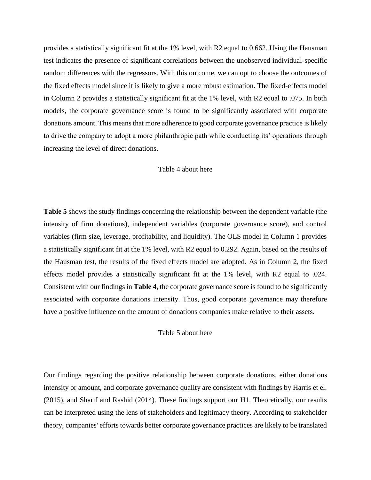provides a statistically significant fit at the 1% level, with R2 equal to 0.662. Using the Hausman test indicates the presence of significant correlations between the unobserved individual-specific random differences with the regressors. With this outcome, we can opt to choose the outcomes of the fixed effects model since it is likely to give a more robust estimation. The fixed-effects model in Column 2 provides a statistically significant fit at the 1% level, with R2 equal to .075. In both models, the corporate governance score is found to be significantly associated with corporate donations amount. This means that more adherence to good corporate governance practice is likely to drive the company to adopt a more philanthropic path while conducting its' operations through increasing the level of direct donations.

#### Table 4 about here

**Table 5** shows the study findings concerning the relationship between the dependent variable (the intensity of firm donations), independent variables (corporate governance score), and control variables (firm size, leverage, profitability, and liquidity). The OLS model in Column 1 provides a statistically significant fit at the 1% level, with R2 equal to 0.292. Again, based on the results of the Hausman test, the results of the fixed effects model are adopted. As in Column 2, the fixed effects model provides a statistically significant fit at the 1% level, with R2 equal to .024. Consistent with our findings in **Table 4**, the corporate governance score is found to be significantly associated with corporate donations intensity. Thus, good corporate governance may therefore have a positive influence on the amount of donations companies make relative to their assets.

Table 5 about here

Our findings regarding the positive relationship between corporate donations, either donations intensity or amount, and corporate governance quality are consistent with findings by Harris et el. (2015), and Sharif and Rashid (2014). These findings support our H1. Theoretically, our results can be interpreted using the lens of stakeholders and legitimacy theory. According to stakeholder theory, companies' efforts towards better corporate governance practices are likely to be translated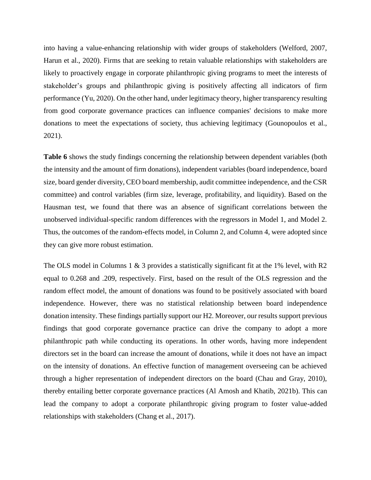into having a value-enhancing relationship with wider groups of stakeholders (Welford, 2007, Harun et al., 2020). Firms that are seeking to retain valuable relationships with stakeholders are likely to proactively engage in corporate philanthropic giving programs to meet the interests of stakeholder's groups and philanthropic giving is positively affecting all indicators of firm performance (Yu, 2020). On the other hand, under legitimacy theory, higher transparency resulting from good corporate governance practices can influence companies' decisions to make more donations to meet the expectations of society, thus achieving legitimacy (Gounopoulos et al., 2021).

Table 6 shows the study findings concerning the relationship between dependent variables (both the intensity and the amount of firm donations), independent variables (board independence, board size, board gender diversity, CEO board membership, audit committee independence, and the CSR committee) and control variables (firm size, leverage, profitability, and liquidity). Based on the Hausman test, we found that there was an absence of significant correlations between the unobserved individual-specific random differences with the regressors in Model 1, and Model 2. Thus, the outcomes of the random-effects model, in Column 2, and Column 4, were adopted since they can give more robust estimation.

The OLS model in Columns 1 & 3 provides a statistically significant fit at the 1% level, with R2 equal to 0.268 and .209, respectively. First, based on the result of the OLS regression and the random effect model, the amount of donations was found to be positively associated with board independence. However, there was no statistical relationship between board independence donation intensity. These findings partially support our H2. Moreover, our results support previous findings that good corporate governance practice can drive the company to adopt a more philanthropic path while conducting its operations. In other words, having more independent directors set in the board can increase the amount of donations, while it does not have an impact on the intensity of donations. An effective function of management overseeing can be achieved through a higher representation of independent directors on the board (Chau and Gray, 2010), thereby entailing better corporate governance practices (Al Amosh and Khatib, 2021b). This can lead the company to adopt a corporate philanthropic giving program to foster value-added relationships with stakeholders (Chang et al., 2017).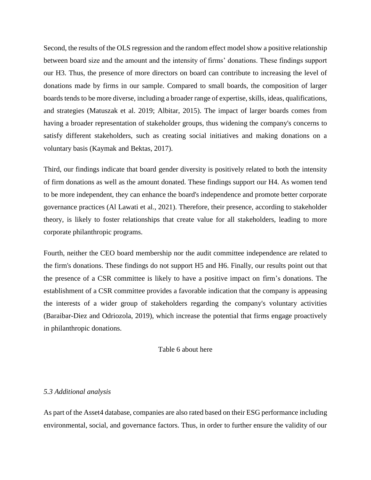Second, the results of the OLS regression and the random effect model show a positive relationship between board size and the amount and the intensity of firms' donations. These findings support our H3. Thus, the presence of more directors on board can contribute to increasing the level of donations made by firms in our sample. Compared to small boards, the composition of larger boards tends to be more diverse, including a broader range of expertise, skills, ideas, qualifications, and strategies (Matuszak et al. 2019; Albitar, 2015). The impact of larger boards comes from having a broader representation of stakeholder groups, thus widening the company's concerns to satisfy different stakeholders, such as creating social initiatives and making donations on a voluntary basis (Kaymak and Bektas, 2017).

Third, our findings indicate that board gender diversity is positively related to both the intensity of firm donations as well as the amount donated. These findings support our H4. As women tend to be more independent, they can enhance the board's independence and promote better corporate governance practices (Al Lawati et al., 2021). Therefore, their presence, according to stakeholder theory, is likely to foster relationships that create value for all stakeholders, leading to more corporate philanthropic programs.

Fourth, neither the CEO board membership nor the audit committee independence are related to the firm's donations. These findings do not support H5 and H6. Finally, our results point out that the presence of a CSR committee is likely to have a positive impact on firm's donations. The establishment of a CSR committee provides a favorable indication that the company is appeasing the interests of a wider group of stakeholders regarding the company's voluntary activities (Baraibar-Diez and Odriozola, 2019), which increase the potential that firms engage proactively in philanthropic donations.

Table 6 about here

#### *5.3 Additional analysis*

As part of the Asset4 database, companies are also rated based on their ESG performance including environmental, social, and governance factors. Thus, in order to further ensure the validity of our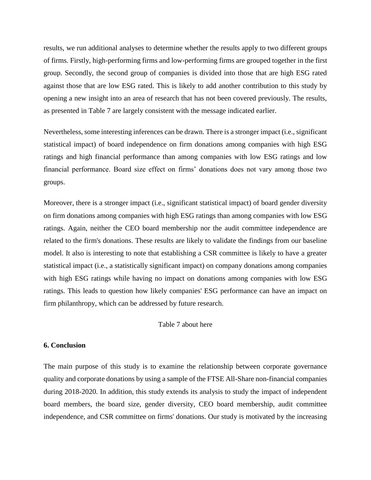results, we run additional analyses to determine whether the results apply to two different groups of firms. Firstly, high-performing firms and low-performing firms are grouped together in the first group. Secondly, the second group of companies is divided into those that are high ESG rated against those that are low ESG rated. This is likely to add another contribution to this study by opening a new insight into an area of research that has not been covered previously. The results, as presented in Table 7 are largely consistent with the message indicated earlier.

Nevertheless, some interesting inferences can be drawn. There is a stronger impact (i.e., significant statistical impact) of board independence on firm donations among companies with high ESG ratings and high financial performance than among companies with low ESG ratings and low financial performance. Board size effect on firms' donations does not vary among those two groups.

Moreover, there is a stronger impact (i.e., significant statistical impact) of board gender diversity on firm donations among companies with high ESG ratings than among companies with low ESG ratings. Again, neither the CEO board membership nor the audit committee independence are related to the firm's donations. These results are likely to validate the findings from our baseline model. It also is interesting to note that establishing a CSR committee is likely to have a greater statistical impact (i.e., a statistically significant impact) on company donations among companies with high ESG ratings while having no impact on donations among companies with low ESG ratings. This leads to question how likely companies' ESG performance can have an impact on firm philanthropy, which can be addressed by future research.

Table 7 about here

## **6. Conclusion**

The main purpose of this study is to examine the relationship between corporate governance quality and corporate donations by using a sample of the FTSE All-Share non-financial companies during 2018-2020. In addition, this study extends its analysis to study the impact of independent board members, the board size, gender diversity, CEO board membership, audit committee independence, and CSR committee on firms' donations. Our study is motivated by the increasing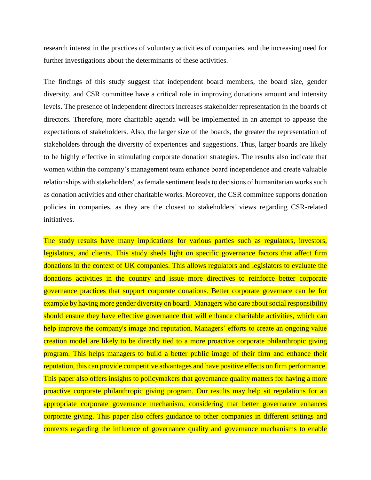research interest in the practices of voluntary activities of companies, and the increasing need for further investigations about the determinants of these activities.

The findings of this study suggest that independent board members, the board size, gender diversity, and CSR committee have a critical role in improving donations amount and intensity levels. The presence of independent directors increases stakeholder representation in the boards of directors. Therefore, more charitable agenda will be implemented in an attempt to appease the expectations of stakeholders. Also, the larger size of the boards, the greater the representation of stakeholders through the diversity of experiences and suggestions. Thus, larger boards are likely to be highly effective in stimulating corporate donation strategies. The results also indicate that women within the company's management team enhance board independence and create valuable relationships with stakeholders', as female sentiment leads to decisions of humanitarian works such as donation activities and other charitable works. Moreover, the CSR committee supports donation policies in companies, as they are the closest to stakeholders' views regarding CSR-related initiatives.

The study results have many implications for various parties such as regulators, investors, legislators, and clients. This study sheds light on specific governance factors that affect firm donations in the context of UK companies. This allows regulators and legislators to evaluate the donations activities in the country and issue more directives to reinforce better corporate governance practices that support corporate donations. Better corporate governace can be for example by having more gender diversity on board. Managers who care about social responsibility should ensure they have effective governance that will enhance charitable activities, which can help improve the company's image and reputation. Managers' efforts to create an ongoing value creation model are likely to be directly tied to a more proactive corporate philanthropic giving program. This helps managers to build a better public image of their firm and enhance their reputation, this can provide competitive advantages and have positive effects on firm performance. This paper also offers insights to policymakers that governance quality matters for having a more proactive corporate philanthropic giving program. Our results may help sit regulations for an appropriate corporate governance mechanism, considering that better governance enhances corporate giving. This paper also offers guidance to other companies in different settings and contexts regarding the influence of governance quality and governance mechanisms to enable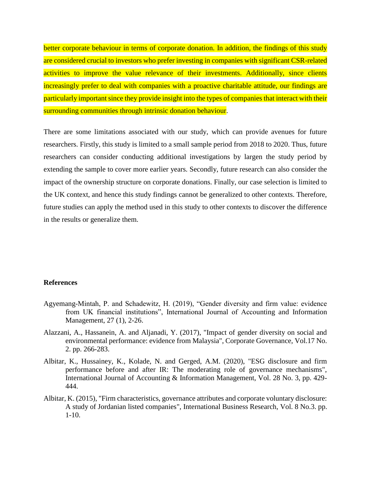better corporate behaviour in terms of corporate donation. In addition, the findings of this study are considered crucial to investors who prefer investing in companies with significant CSR-related activities to improve the value relevance of their investments. Additionally, since clients increasingly prefer to deal with companies with a proactive charitable attitude, our findings are particularly important since they provide insight into the types of companies that interact with their surrounding communities through intrinsic donation behaviour.

There are some limitations associated with our study, which can provide avenues for future researchers. Firstly, this study is limited to a small sample period from 2018 to 2020. Thus, future researchers can consider conducting additional investigations by largen the study period by extending the sample to cover more earlier years. Secondly, future research can also consider the impact of the ownership structure on corporate donations. Finally, our case selection is limited to the UK context, and hence this study findings cannot be generalized to other contexts. Therefore, future studies can apply the method used in this study to other contexts to discover the difference in the results or generalize them.

#### **References**

- Agyemang-Mintah, P. and Schadewitz, H. (2019), "Gender diversity and firm value: evidence from UK financial institutions", International Journal of Accounting and Information Management, 27 (1), 2-26.
- Alazzani, A., Hassanein, A. and Aljanadi, Y. (2017), "Impact of gender diversity on social and environmental performance: evidence from Malaysia", Corporate Governance, Vol.17 No. 2. pp. 266-283.
- Albitar, K., Hussainey, K., Kolade, N. and Gerged, A.M. (2020), "ESG disclosure and firm performance before and after IR: The moderating role of governance mechanisms", International Journal of Accounting & Information Management, Vol. 28 No. 3, pp. 429- 444.
- Albitar, K. (2015), "Firm characteristics, governance attributes and corporate voluntary disclosure: A study of Jordanian listed companies", International Business Research, Vol. 8 No.3. pp.  $1-10.$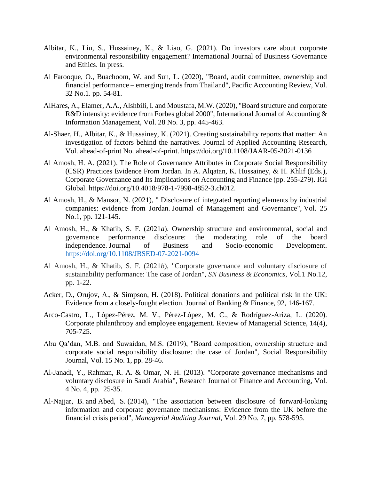- Albitar, K., Liu, S., Hussainey, K., & Liao, G. (2021). Do investors care about corporate environmental responsibility engagement? International Journal of Business Governance and Ethics. In press.
- Al Farooque, O., Buachoom, W. and Sun, L. (2020), "Board, audit committee, ownership and financial performance – emerging trends from Thailand", Pacific Accounting Review, Vol. 32 No.1. pp. 54-81.
- AlHares, A., Elamer, A.A., Alshbili, I. and Moustafa, M.W. (2020), "Board structure and corporate R&D intensity: evidence from Forbes global 2000", International Journal of Accounting & Information Management, Vol. 28 No. 3, pp. 445-463.
- Al-Shaer, H., Albitar, K., & Hussainey, K. (2021). Creating sustainability reports that matter: An investigation of factors behind the narratives. Journal of Applied Accounting Research, Vol. ahead-of-print No. ahead-of-print. https://doi.org/10.1108/JAAR-05-2021-0136
- Al Amosh, H. A. (2021). The Role of Governance Attributes in Corporate Social Responsibility (CSR) Practices Evidence From Jordan. In A. Alqatan, K. Hussainey, & H. Khlif (Eds.), Corporate Governance and Its Implications on Accounting and Finance (pp. 255-279). IGI Global. https://doi.org/10.4018/978-1-7998-4852-3.ch012.
- Al Amosh, H., & Mansor, N. (2021), " Disclosure of integrated reporting elements by industrial companies: evidence from Jordan. Journal of Management and Governance", Vol. 25 No.1, pp. 121-145.
- Al Amosh, H., & Khatib, S. F. (2021*a*). Ownership structure and environmental, social and governance performance disclosure: the moderating role of the board independence. Journal of Business and Socio-economic Development. <https://doi.org/10.1108/JBSED-07-2021-0094>
- Al Amosh, H., & Khatib, S. F. (2021*b*), "Corporate governance and voluntary disclosure of sustainability performance: The case of Jordan", *SN Business & Economics*, Vol.1 No.12, pp. 1-22.
- Acker, D., Orujov, A., & Simpson, H. (2018). Political donations and political risk in the UK: Evidence from a closely-fought election. Journal of Banking & Finance, 92, 146-167.
- Arco-Castro, L., López-Pérez, M. V., Pérez-López, M. C., & Rodríguez-Ariza, L. (2020). Corporate philanthropy and employee engagement. Review of Managerial Science, 14(4), 705-725.
- Abu Qa'dan, M.B. and Suwaidan, M.S. (2019), "Board composition, ownership structure and corporate social responsibility disclosure: the case of Jordan", Social Responsibility Journal, Vol. 15 No. 1, pp. 28-46.
- Al-Janadi, Y., Rahman, R. A. & Omar, N. H. (2013). "Corporate governance mechanisms and voluntary disclosure in Saudi Arabia", Research Journal of Finance and Accounting, Vol. 4 No. 4, pp. 25-35.
- [Al-Najjar, B.](https://www.emerald.com/insight/search?q=Basil%20Al-Najjar) and [Abed, S.](https://www.emerald.com/insight/search?q=Suzan%20Abed) (2014), "The association between disclosure of forward-looking information and corporate governance mechanisms: Evidence from the UK before the financial crisis period", *[Managerial Auditing Journal](https://www.emerald.com/insight/publication/issn/0268-6902)*, Vol. 29 No. 7, pp. 578-595.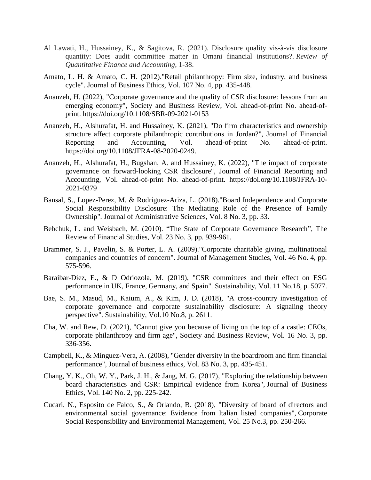- Al Lawati, H., Hussainey, K., & Sagitova, R. (2021). Disclosure quality vis-à-vis disclosure quantity: Does audit committee matter in Omani financial institutions?. *Review of Quantitative Finance and Accounting*, 1-38.
- Amato, L. H. & Amato, C. H. (2012)."Retail philanthropy: Firm size, industry, and business cycle". Journal of Business Ethics, Vol. 107 No. 4, pp. 435-448.
- Ananzeh, H. (2022), "Corporate governance and the quality of CSR disclosure: lessons from an emerging economy", Society and Business Review, Vol. ahead-of-print No. ahead-ofprint. https://doi.org/10.1108/SBR-09-2021-0153
- Ananzeh, H., Alshurafat, H. and Hussainey, K. (2021), "Do firm characteristics and ownership structure affect corporate philanthropic contributions in Jordan?", Journal of Financial Reporting and Accounting, Vol. ahead-of-print No. ahead-of-print. https://doi.org/10.1108/JFRA-08-2020-0249.
- Ananzeh, H., Alshurafat, H., Bugshan, A. and Hussainey, K. (2022), "The impact of corporate governance on forward-looking CSR disclosure", Journal of Financial Reporting and Accounting, Vol. ahead-of-print No. ahead-of-print. https://doi.org/10.1108/JFRA-10- 2021-0379
- Bansal, S., Lopez-Perez, M. & Rodriguez-Ariza, L. (2018)."Board Independence and Corporate Social Responsibility Disclosure: The Mediating Role of the Presence of Family Ownership". Journal of Administrative Sciences, Vol. 8 No. 3, pp. 33.
- Bebchuk, L. and Weisbach, M. (2010). "The State of Corporate Governance Research", The Review of Financial Studies, Vol. 23 No. 3, pp. 939-961.
- Brammer, S. J., Pavelin, S. & Porter, L. A. (2009)."Corporate charitable giving, multinational companies and countries of concern". Journal of Management Studies, Vol. 46 No. 4, pp. 575-596.
- Baraibar-Diez, E., & D Odriozola, M. (2019), "CSR committees and their effect on ESG performance in UK, France, Germany, and Spain". Sustainability, Vol. 11 No.18, p. 5077.
- Bae, S. M., Masud, M., Kaium, A., & Kim, J. D. (2018), "A cross-country investigation of corporate governance and corporate sustainability disclosure: A signaling theory perspective". Sustainability, Vol.10 No.8, p. 2611.
- Cha, W. and Rew, D. (2021), "Cannot give you because of living on the top of a castle: CEOs, corporate philanthropy and firm age", Society and Business Review, Vol. 16 No. 3, pp. 336-356.
- Campbell, K., & Mínguez-Vera, A. (2008), "Gender diversity in the boardroom and firm financial performance", Journal of business ethics, Vol. 83 No. 3, pp. 435-451.
- Chang, Y. K., Oh, W. Y., Park, J. H., & Jang, M. G. (2017), "Exploring the relationship between board characteristics and CSR: Empirical evidence from Korea", Journal of Business Ethics, Vol. 140 No. 2, pp. 225-242.
- Cucari, N., Esposito de Falco, S., & Orlando, B. (2018), "Diversity of board of directors and environmental social governance: Evidence from Italian listed companies", Corporate Social Responsibility and Environmental Management, Vol. 25 No.3, pp. 250-266.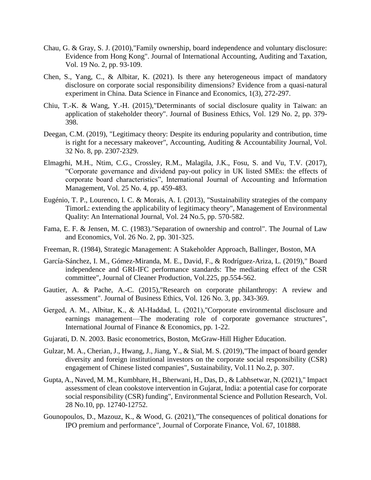- Chau, G. & Gray, S. J. (2010),"Family ownership, board independence and voluntary disclosure: Evidence from Hong Kong". Journal of International Accounting, Auditing and Taxation, Vol. 19 No. 2, pp. 93-109.
- Chen, S., Yang, C., & Albitar, K. (2021). Is there any heterogeneous impact of mandatory disclosure on corporate social responsibility dimensions? Evidence from a quasi-natural experiment in China. Data Science in Finance and Economics, 1(3), 272-297.
- Chiu, T.-K. & Wang, Y.-H. (2015),"Determinants of social disclosure quality in Taiwan: an application of stakeholder theory". Journal of Business Ethics, Vol. 129 No. 2, pp. 379- 398.
- Deegan, C.M. (2019), "Legitimacy theory: Despite its enduring popularity and contribution, time is right for a necessary makeover", Accounting, Auditing & Accountability Journal, Vol. 32 No. 8, pp. 2307-2329.
- Elmagrhi, M.H., Ntim, C.G., Crossley, R.M., Malagila, J.K., Fosu, S. and Vu, T.V. (2017), "Corporate governance and dividend pay-out policy in UK listed SMEs: the effects of corporate board characteristics", International Journal of Accounting and Information Management, Vol. 25 No. 4, pp. 459-483.
- Eugénio, T. P., Lourenco, I. C. & Morais, A. I. (2013), "Sustainability strategies of the company TimorL: extending the applicability of legitimacy theory", Management of Environmental Quality: An International Journal, Vol. 24 No.5, pp. 570-582.
- Fama, E. F. & Jensen, M. C. (1983)."Separation of ownership and control". The Journal of Law and Economics, Vol. 26 No. 2, pp. 301-325.
- Freeman, R. (1984), Strategic Management: A Stakeholder Approach, Ballinger, Boston, MA
- García-Sánchez, I. M., Gómez-Miranda, M. E., David, F., & Rodríguez-Ariza, L. (2019)," Board independence and GRI-IFC performance standards: The mediating effect of the CSR committee", Journal of Cleaner Production, Vol.225, pp.554-562.
- Gautier, A. & Pache, A.-C. (2015),"Research on corporate philanthropy: A review and assessment". Journal of Business Ethics, Vol. 126 No. 3, pp. 343-369.
- Gerged, A. M., Albitar, K., & Al‐Haddad, L. (2021),"Corporate environmental disclosure and earnings management—The moderating role of corporate governance structures", International Journal of Finance & Economics, pp. 1-22.
- Gujarati, D. N. 2003. Basic econometrics, Boston, McGraw-Hill Higher Education.
- Gulzar, M. A., Cherian, J., Hwang, J., Jiang, Y., & Sial, M. S. (2019),"The impact of board gender diversity and foreign institutional investors on the corporate social responsibility (CSR) engagement of Chinese listed companies", Sustainability, Vol.11 No.2, p. 307.
- Gupta, A., Naved, M. M., Kumbhare, H., Bherwani, H., Das, D., & Labhsetwar, N. (2021)," Impact assessment of clean cookstove intervention in Gujarat, India: a potential case for corporate social responsibility (CSR) funding", Environmental Science and Pollution Research, Vol. 28 No.10, pp. 12740-12752.
- Gounopoulos, D., Mazouz, K., & Wood, G. (2021),"The consequences of political donations for IPO premium and performance", Journal of Corporate Finance, Vol. 67, 101888.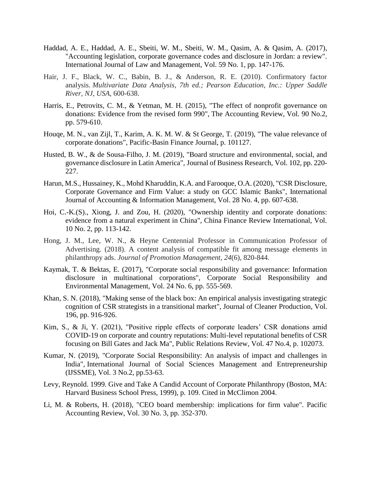- Haddad, A. E., Haddad, A. E., Sbeiti, W. M., Sbeiti, W. M., Qasim, A. & Qasim, A. (2017), "Accounting legislation, corporate governance codes and disclosure in Jordan: a review". International Journal of Law and Management, Vol. 59 No. 1, pp. 147-176.
- Hair, J. F., Black, W. C., Babin, B. J., & Anderson, R. E. (2010). Confirmatory factor analysis. *Multivariate Data Analysis, 7th ed.; Pearson Education, Inc.: Upper Saddle River, NJ, USA*, 600-638.
- Harris, E., Petrovits, C. M., & Yetman, M. H. (2015), "The effect of nonprofit governance on donations: Evidence from the revised form 990", The Accounting Review, Vol. 90 No.2, pp. 579-610.
- Houqe, M. N., van Zijl, T., Karim, A. K. M. W. & St George, T. (2019), "The value relevance of corporate donations", Pacific-Basin Finance Journal, p. 101127.
- Husted, B. W., & de Sousa-Filho, J. M. (2019), "Board structure and environmental, social, and governance disclosure in Latin America", Journal of Business Research, Vol. 102, pp. 220- 227.
- Harun, M.S., Hussainey, K., Mohd Kharuddin, K.A. and Farooque, O.A. (2020), "CSR Disclosure, Corporate Governance and Firm Value: a study on GCC Islamic Banks", International Journal of Accounting & Information Management, Vol. 28 No. 4, pp. 607-638.
- Hoi, C.-K.(S)., Xiong, J. and Zou, H. (2020), "Ownership identity and corporate donations: evidence from a natural experiment in China", China Finance Review International, Vol. 10 No. 2, pp. 113-142.
- Hong, J. M., Lee, W. N., & Heyne Centennial Professor in Communication Professor of Advertising. (2018). A content analysis of compatible fit among message elements in philanthropy ads. *Journal of Promotion Management*, *24*(6), 820-844.
- Kaymak, T. & Bektas, E. (2017), "Corporate social responsibility and governance: Information disclosure in multinational corporations", Corporate Social Responsibility and Environmental Management, Vol. 24 No. 6, pp. 555-569.
- Khan, S. N. (2018), "Making sense of the black box: An empirical analysis investigating strategic cognition of CSR strategists in a transitional market", Journal of Cleaner Production, Vol. 196, pp. 916-926.
- Kim, S., & Ji, Y. (2021), "Positive ripple effects of corporate leaders' CSR donations amid COVID-19 on corporate and country reputations: Multi-level reputational benefits of CSR focusing on Bill Gates and Jack Ma", Public Relations Review, Vol. 47 No.4, p. 102073.
- Kumar, N. (2019), "Corporate Social Responsibility: An analysis of impact and challenges in India", International Journal of Social Sciences Management and Entrepreneurship (IJSSME), Vol. 3 No.2, pp.53-63.
- Levy, Reynold. 1999. Give and Take A Candid Account of Corporate Philanthropy (Boston, MA: Harvard Business School Press, 1999), p. 109. Cited in McClimon 2004.
- Li, M. & Roberts, H. (2018), "CEO board membership: implications for firm value". Pacific Accounting Review, Vol. 30 No. 3, pp. 352-370.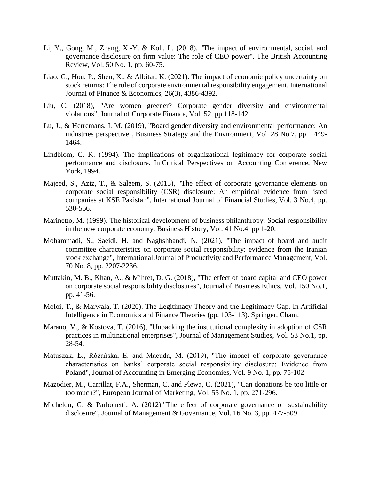- Li, Y., Gong, M., Zhang, X.-Y. & Koh, L. (2018), "The impact of environmental, social, and governance disclosure on firm value: The role of CEO power". The British Accounting Review, Vol. 50 No. 1, pp. 60-75.
- Liao, G., Hou, P., Shen, X., & Albitar, K. (2021). The impact of economic policy uncertainty on stock returns: The role of corporate environmental responsibility engagement. International Journal of Finance & Economics, 26(3), 4386-4392.
- Liu, C. (2018), "Are women greener? Corporate gender diversity and environmental violations", Journal of Corporate Finance, Vol. 52, pp.118-142.
- Lu, J., & Herremans, I. M. (2019), "Board gender diversity and environmental performance: An industries perspective", Business Strategy and the Environment, Vol. 28 No.7, pp. 1449- 1464.
- Lindblom, C. K. (1994). The implications of organizational legitimacy for corporate social performance and disclosure. In Critical Perspectives on Accounting Conference, New York, 1994.
- Majeed, S., Aziz, T., & Saleem, S. (2015), "The effect of corporate governance elements on corporate social responsibility (CSR) disclosure: An empirical evidence from listed companies at KSE Pakistan", International Journal of Financial Studies, Vol. 3 No.4, pp. 530-556.
- Marinetto, M. (1999). The historical development of business philanthropy: Social responsibility in the new corporate economy. Business History, Vol. 41 No.4, pp 1-20.
- Mohammadi, S., Saeidi, H. and Naghshbandi, N. (2021), "The impact of board and audit committee characteristics on corporate social responsibility: evidence from the Iranian stock exchange", International Journal of Productivity and Performance Management, Vol. 70 No. 8, pp. 2207-2236.
- Muttakin, M. B., Khan, A., & Mihret, D. G. (2018), "The effect of board capital and CEO power on corporate social responsibility disclosures", Journal of Business Ethics, Vol. 150 No.1, pp. 41-56.
- Moloi, T., & Marwala, T. (2020). The Legitimacy Theory and the Legitimacy Gap. In Artificial Intelligence in Economics and Finance Theories (pp. 103-113). Springer, Cham.
- Marano, V., & Kostova, T. (2016), "Unpacking the institutional complexity in adoption of CSR practices in multinational enterprises", Journal of Management Studies, Vol. 53 No.1, pp. 28-54.
- Matuszak, Ł., Różańska, E. and Macuda, M. (2019), "The impact of corporate governance characteristics on banks' corporate social responsibility disclosure: Evidence from Poland", Journal of Accounting in Emerging Economies, Vol. 9 No. 1, pp. 75-102
- Mazodier, M., Carrillat, F.A., Sherman, C. and Plewa, C. (2021), "Can donations be too little or too much?", European Journal of Marketing, Vol. 55 No. 1, pp. 271-296.
- Michelon, G. & Parbonetti, A. (2012),"The effect of corporate governance on sustainability disclosure", Journal of Management & Governance, Vol. 16 No. 3, pp. 477-509.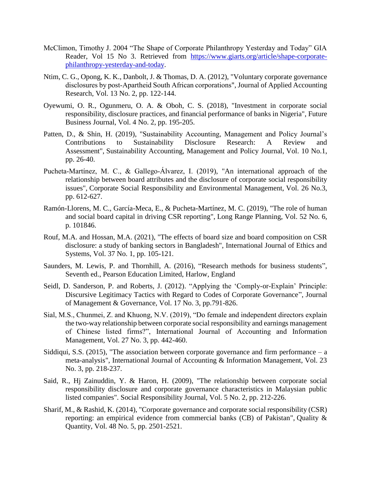- McClimon, Timothy J. 2004 "The Shape of Corporate Philanthropy Yesterday and Today" GIA Reader, Vol 15 No 3. Retrieved from [https://www.giarts.org/article/shape-corporate](https://www.giarts.org/article/shape-corporate-philanthropy-yesterday-and-today)[philanthropy-yesterday-and-today.](https://www.giarts.org/article/shape-corporate-philanthropy-yesterday-and-today)
- Ntim, C. G., Opong, K. K., Danbolt, J. & Thomas, D. A. (2012), "Voluntary corporate governance disclosures by post‐Apartheid South African corporations", Journal of Applied Accounting Research, Vol. 13 No. 2, pp. 122-144.
- Oyewumi, O. R., Ogunmeru, O. A. & Oboh, C. S. (2018), "Investment in corporate social responsibility, disclosure practices, and financial performance of banks in Nigeria", Future Business Journal, Vol. 4 No. 2, pp. 195-205.
- Patten, D., & Shin, H. (2019), "Sustainability Accounting, Management and Policy Journal's Contributions to Sustainability Disclosure Research: A Review and Assessment", Sustainability Accounting, Management and Policy Journal, Vol. 10 No.1, pp. 26-40.
- Pucheta‐Martínez, M. C., & Gallego‐Álvarez, I. (2019), "An international approach of the relationship between board attributes and the disclosure of corporate social responsibility issues", Corporate Social Responsibility and Environmental Management, Vol. 26 No.3, pp. 612-627.
- Ramón-Llorens, M. C., García-Meca, E., & Pucheta-Martínez, M. C. (2019), "The role of human and social board capital in driving CSR reporting", Long Range Planning, Vol. 52 No. 6, p. 101846.
- Rouf, M.A. and Hossan, M.A. (2021), "The effects of board size and board composition on CSR disclosure: a study of banking sectors in Bangladesh", International Journal of Ethics and Systems, Vol. 37 No. 1, pp. 105-121.
- Saunders, M. Lewis, P. and Thornhill, A. (2016), "Research methods for business students", Seventh ed., Pearson Education Limited, Harlow, England
- Seidl, D. Sanderson, P. and Roberts, J. (2012). "Applying the 'Comply-or-Explain' Principle: Discursive Legitimacy Tactics with Regard to Codes of Corporate Governance", Journal of Management & Governance, Vol. 17 No. 3, pp.791-826.
- Sial, M.S., Chunmei, Z. and Khuong, N.V. (2019), "Do female and independent directors explain the two-way relationship between corporate social responsibility and earnings management of Chinese listed firms?", International Journal of Accounting and Information Management, Vol. 27 No. 3, pp. 442-460.
- Siddiqui, S.S. (2015), "The association between corporate governance and firm performance  $a$ meta-analysis", International Journal of Accounting & Information Management, Vol. 23 No. 3, pp. 218-237.
- Said, R., Hj Zainuddin, Y. & Haron, H. (2009), "The relationship between corporate social responsibility disclosure and corporate governance characteristics in Malaysian public listed companies". Social Responsibility Journal, Vol. 5 No. 2, pp. 212-226.
- Sharif, M., & Rashid, K. (2014), "Corporate governance and corporate social responsibility (CSR) reporting: an empirical evidence from commercial banks (CB) of Pakistan", Quality & Quantity, Vol. 48 No. 5, pp. 2501-2521.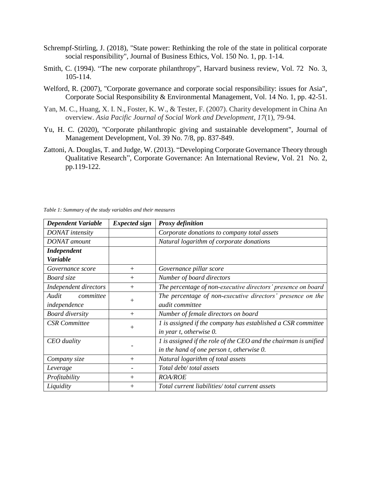- Schrempf-Stirling, J. (2018), "State power: Rethinking the role of the state in political corporate social responsibility", Journal of Business Ethics, Vol. 150 No. 1, pp. 1-14.
- Smith, C. (1994). "The new corporate philanthropy", Harvard business review, Vol. 72 No. 3, 105-114.
- Welford, R. (2007), "Corporate governance and corporate social responsibility: issues for Asia", Corporate Social Responsibility & Environmental Management, Vol. 14 No. 1, pp. 42-51.
- Yan, M. C., Huang, X. I. N., Foster, K. W., & Tester, F. (2007). Charity development in China An overview. *Asia Pacific Journal of Social Work and Development*, *17*(1), 79-94.
- Yu, H. C. (2020), "Corporate philanthropic giving and sustainable development", Journal of Management Development, Vol. 39 No. 7/8, pp. 837-849.
- Zattoni, A. Douglas, T. and Judge, W. (2013). "Developing Corporate Governance Theory through Qualitative Research", Corporate Governance: An International Review, Vol. 21 No. 2, pp.119-122.

| <b>Dependent Variable</b> | <b>Expected</b> sign | <b>Proxy definition</b>                                          |
|---------------------------|----------------------|------------------------------------------------------------------|
| DONAT intensity           |                      | Corporate donations to company total assets                      |
| <b>DONAT</b> amount       |                      | Natural logarithm of corporate donations                         |
| <b>Independent</b>        |                      |                                                                  |
| <b>Variable</b>           |                      |                                                                  |
| Governance score          | $^{+}$               | Governance pillar score                                          |
| Board size                | $^{+}$               | Number of board directors                                        |
| Independent directors     | $^{+}$               | The percentage of non-executive directors' presence on board     |
| committee<br>Audit        |                      | The percentage of non-executive directors' presence on the       |
| independence              | $^{+}$               | <i>audit committee</i>                                           |
| <b>Board diversity</b>    | $^{+}$               | Number of female directors on board                              |
| <b>CSR</b> Committee      |                      | 1 is assigned if the company has established a CSR committee     |
|                           | $^{+}$               | in year t, otherwise 0.                                          |
| CEO duality               |                      | 1 is assigned if the role of the CEO and the chairman is unified |
|                           |                      | in the hand of one person t, otherwise 0.                        |
| Company size              | $+$                  | Natural logarithm of total assets                                |
| Leverage                  |                      | Total debt/ total assets                                         |
| Profitability             | $^{+}$               | <b>ROA/ROE</b>                                                   |
| Liquidity                 | $\hspace{0.1mm} +$   | Total current liabilities/total current assets                   |

*Table 1: Summary of the study variables and their measures*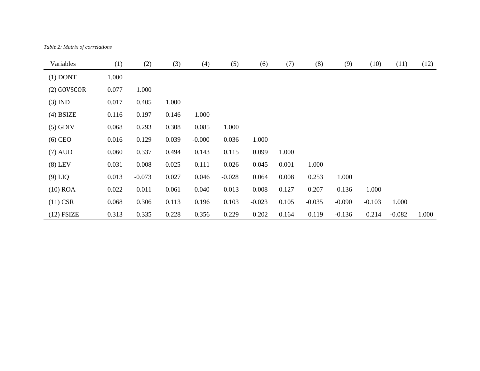*Table 2: Matrix of correlations*

| Variables     | (1)   | (2)      | (3)      | (4)      | (5)      | (6)      | (7)   | (8)      | (9)      | (10)     | (11)     | (12)  |
|---------------|-------|----------|----------|----------|----------|----------|-------|----------|----------|----------|----------|-------|
| $(1)$ DONT    | 1.000 |          |          |          |          |          |       |          |          |          |          |       |
| $(2)$ GOVSCOR | 0.077 | 1.000    |          |          |          |          |       |          |          |          |          |       |
| $(3)$ IND     | 0.017 | 0.405    | 1.000    |          |          |          |       |          |          |          |          |       |
| $(4)$ BSIZE   | 0.116 | 0.197    | 0.146    | 1.000    |          |          |       |          |          |          |          |       |
| $(5)$ GDIV    | 0.068 | 0.293    | 0.308    | 0.085    | 1.000    |          |       |          |          |          |          |       |
| $(6)$ CEO     | 0.016 | 0.129    | 0.039    | $-0.000$ | 0.036    | 1.000    |       |          |          |          |          |       |
| $(7)$ AUD     | 0.060 | 0.337    | 0.494    | 0.143    | 0.115    | 0.099    | 1.000 |          |          |          |          |       |
| $(8)$ LEV     | 0.031 | 0.008    | $-0.025$ | 0.111    | 0.026    | 0.045    | 0.001 | 1.000    |          |          |          |       |
| $(9)$ LIQ     | 0.013 | $-0.073$ | 0.027    | 0.046    | $-0.028$ | 0.064    | 0.008 | 0.253    | 1.000    |          |          |       |
| $(10)$ ROA    | 0.022 | 0.011    | 0.061    | $-0.040$ | 0.013    | $-0.008$ | 0.127 | $-0.207$ | $-0.136$ | 1.000    |          |       |
| $(11)$ CSR    | 0.068 | 0.306    | 0.113    | 0.196    | 0.103    | $-0.023$ | 0.105 | $-0.035$ | $-0.090$ | $-0.103$ | 1.000    |       |
| $(12)$ FSIZE  | 0.313 | 0.335    | 0.228    | 0.356    | 0.229    | 0.202    | 0.164 | 0.119    | $-0.136$ | 0.214    | $-0.082$ | 1.000 |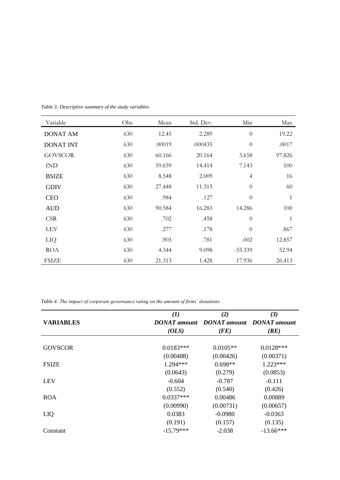| Variable         | Obs | Mean   | Std. Dev. | Min            | Max          |
|------------------|-----|--------|-----------|----------------|--------------|
| <b>DONAT AM</b>  | 630 | 12.45  | 2.289     | $\theta$       | 19.22        |
| <b>DONAT INT</b> | 630 | .00019 | .000435   | $\theta$       | .0017        |
| <b>GOVSCOR</b>   | 630 | 60.166 | 20.164    | 3.658          | 97.826       |
| <b>IND</b>       | 630 | 59.659 | 14.414    | 7.143          | 100          |
| <b>BSIZE</b>     | 630 | 8.548  | 2.009     | $\overline{4}$ | 16           |
| <b>GDIV</b>      | 630 | 27.448 | 11.315    | $\theta$       | 60           |
| <b>CEO</b>       | 630 | .984   | .127      | $\theta$       | $\mathbf{1}$ |
| <b>AUD</b>       | 630 | 90.584 | 16.283    | 14.286         | 100          |
| <b>CSR</b>       | 630 | .702   | .458      | $\theta$       | $\mathbf{1}$ |
| <b>LEV</b>       | 630 | .277   | .178      | $\theta$       | .867         |
| LIQ              | 630 | .903   | .781      | .002           | 12.857       |
| <b>ROA</b>       | 630 | 4.344  | 9.098     | $-55.339$      | 52.94        |
| <b>FSIZE</b>     | 630 | 21.313 | 1.428     | 17.936         | 26.413       |

*Table 3: Descriptive summary of the study variables* 

*Table 4: The impact of corporate governance rating on the amount of firms' donations* 

|                  | $\mathbf{\mathcal{L}}$ | (2)                                                         | (3)         |
|------------------|------------------------|-------------------------------------------------------------|-------------|
| <b>VARIABLES</b> |                        | <b>DONAT</b> amount <b>DONAT</b> amount <b>DONAT</b> amount |             |
|                  | (OLS)                  | (FE)                                                        | (RE)        |
|                  |                        |                                                             |             |
| <b>GOVSCOR</b>   | $0.0183***$            | $0.0105**$                                                  | $0.0128***$ |
|                  | (0.00488)              | (0.00426)                                                   | (0.00371)   |
| <b>FSIZE</b>     | $1.294***$             | $0.698**$                                                   | $1.223***$  |
|                  | (0.0643)               | (0.279)                                                     | (0.0853)    |
| <b>LEV</b>       | $-0.604$               | $-0.787$                                                    | $-0.111$    |
|                  | (0.552)                | (0.540)                                                     | (0.426)     |
| <b>ROA</b>       | $0.0337***$            | 0.00486                                                     | 0.00889     |
|                  | (0.00990)              | (0.00731)                                                   | (0.00657)   |
| LIQ              | 0.0383                 | $-0.0980$                                                   | $-0.0363$   |
|                  | (0.191)                | (0.157)                                                     | (0.135)     |
| Constant         | $-15.79***$            | $-2.038$                                                    | $-13.66***$ |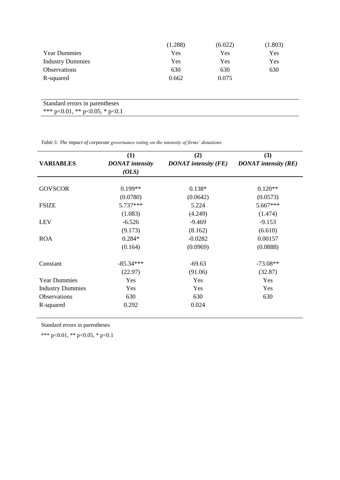|                                        | (1.288) | (6.022) | (1.803) |
|----------------------------------------|---------|---------|---------|
| <b>Year Dummies</b>                    | Yes     | Yes     | Yes     |
| <b>Industry Dummies</b>                | Yes     | Yes     | Yes     |
| Observations                           | 630     | 630     | 630     |
| R-squared                              | 0.662   | 0.075   |         |
|                                        |         |         |         |
|                                        |         |         |         |
| Standard errors in parentheses         |         |         |         |
| *** $p<0.01$ , ** $p<0.05$ , * $p<0.1$ |         |         |         |

 $\overline{\phantom{a}}$ 

*Table 5: The impact of corporate governance rating on the intensity of firms' donations*

|                         | (1)                    | (2)                         | (3)                         |
|-------------------------|------------------------|-----------------------------|-----------------------------|
| <b>VARIABLES</b>        | <b>DONAT</b> intensity | <b>DONAT</b> intensity (FE) | <b>DONAT</b> intensity (RE) |
|                         | (OLS)                  |                             |                             |
| <b>GOVSCOR</b>          | $0.199**$              | $0.138*$                    | $0.120**$                   |
|                         | (0.0780)               | (0.0642)                    | (0.0573)                    |
| <b>FSIZE</b>            | 5.737***               | 5.224                       | 5.667***                    |
|                         | (1.083)                | (4.249)                     | (1.474)                     |
| <b>LEV</b>              | $-6.526$               | $-9.469$                    | $-9.153$                    |
|                         | (9.173)                | (8.162)                     | (6.610)                     |
| <b>ROA</b>              | $0.284*$               | $-0.0282$                   | 0.00157                     |
|                         | (0.164)                | (0.0969)                    | (0.0888)                    |
| Constant                | $-85.34***$            | $-69.63$                    | $-73.08**$                  |
|                         | (22.97)                | (91.06)                     | (32.87)                     |
| <b>Year Dummies</b>     | Yes                    | Yes                         | Yes                         |
| <b>Industry Dummies</b> | Yes                    | Yes                         | Yes                         |
| Observations            | 630                    | 630                         | 630                         |
| R-squared               | 0.292                  | 0.024                       |                             |

Standard errors in parentheses

\*\*\* p<0.01, \*\* p<0.05, \* p<0.1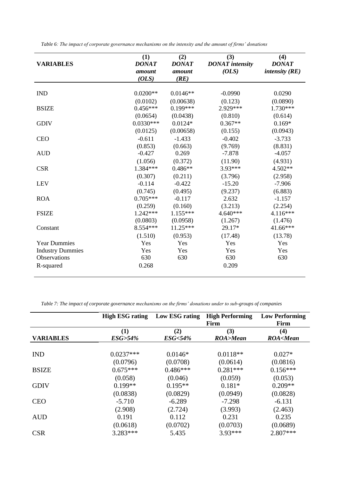| <b>VARIABLES</b>        | (1)<br><b>DONAT</b><br>amount<br>(OLS) | (2)<br><b>DONAT</b><br>amount<br>(RE) | (3)<br><b>DONAT</b> intensity<br>(OLS) | (4)<br><b>DONAT</b><br>intensity $(RE)$ |
|-------------------------|----------------------------------------|---------------------------------------|----------------------------------------|-----------------------------------------|
| <b>IND</b>              | $0.0200**$                             | $0.0146**$                            | $-0.0990$                              | 0.0290                                  |
|                         | (0.0102)                               | (0.00638)                             | (0.123)                                | (0.0890)                                |
| <b>BSIZE</b>            | $0.456***$                             | $0.199***$                            | 2.929***                               | 1.730***                                |
|                         | (0.0654)                               | (0.0438)                              | (0.810)                                | (0.614)                                 |
| <b>GDIV</b>             | $0.0330***$                            | $0.0124*$                             | $0.367**$                              | $0.169*$                                |
|                         | (0.0125)                               | (0.00658)                             | (0.155)                                | (0.0943)                                |
| <b>CEO</b>              | $-0.611$                               | $-1.433$                              | $-0.402$                               | $-3.733$                                |
|                         | (0.853)                                | (0.663)                               | (9.769)                                | (8.831)                                 |
| <b>AUD</b>              | $-0.427$                               | 0.269                                 | $-7.878$                               | $-4.057$                                |
|                         | (1.056)                                | (0.372)                               | (11.90)                                | (4.931)                                 |
| <b>CSR</b>              | 1.384***                               | $0.486**$                             | 3.93***                                | 4.502**                                 |
|                         | (0.307)                                | (0.211)                               | (3.796)                                | (2.958)                                 |
| <b>LEV</b>              | $-0.114$                               | $-0.422$                              | $-15.20$                               | $-7.906$                                |
|                         | (0.745)                                | (0.495)                               | (9.237)                                | (6.883)                                 |
| <b>ROA</b>              | $0.705***$                             | $-0.117$                              | 2.632                                  | $-1.157$                                |
|                         | (0.259)                                | (0.160)                               | (3.213)                                | (2.254)                                 |
| <b>FSIZE</b>            | $1.242***$                             | $1.155***$                            | $4.640***$                             | 4.116***                                |
|                         | (0.0803)                               | (0.0958)                              | (1.267)                                | (1.476)                                 |
| Constant                | 8.554***                               | $11.25***$                            | 29.17*                                 | 41.66***                                |
|                         | (1.510)                                | (0.953)                               | (17.48)                                | (13.78)                                 |
| <b>Year Dummies</b>     | Yes                                    | Yes                                   | Yes                                    | Yes                                     |
| <b>Industry Dummies</b> | Yes                                    | Yes                                   | Yes                                    | Yes                                     |
| Observations            | 630                                    | 630                                   | 630                                    | 630                                     |
| R-squared               | 0.268                                  |                                       | 0.209                                  |                                         |

*Table 6: The impact of corporate governance mechanisms on the intensity and the amount of firms' donations*

*Table 7: The impact of corporate governance mechanisms on the firms' donations under to sub-groups of companies*

|                  | <b>High ESG rating</b> | Low ESG rating    | <b>High Performing</b><br>Firm | <b>Low Performing</b><br>Firm  |
|------------------|------------------------|-------------------|--------------------------------|--------------------------------|
| <b>VARIABLES</b> | (1)                    | (2)               | (3)                            | (4)                            |
|                  | ESG>54%                | <b>ESG&lt;54%</b> | ROA>Mean                       | <b>ROA<mean< b=""></mean<></b> |
| <b>IND</b>       | $0.0237***$            | $0.0146*$         | $0.0118**$                     | $0.027*$                       |
| <b>BSIZE</b>     | (0.0796)               | (0.0708)          | (0.0614)                       | (0.0816)                       |
|                  | $0.675***$             | $0.486***$        | $0.281***$                     | $0.156***$                     |
| <b>GDIV</b>      | (0.058)                | (0.046)           | (0.059)                        | (0.053)                        |
|                  | $0.199**$              | $0.195**$         | $0.181*$                       | $0.209**$                      |
|                  | (0.0838)               | (0.0829)          | (0.0949)                       | (0.0828)                       |
| <b>CEO</b>       | $-5.710$               | $-6.289$          | $-7.298$                       | $-6.131$                       |
|                  | (2.908)                | (2.724)           | (3.993)                        | (2.463)                        |
| <b>AUD</b>       | 0.191                  | 0.112             | 0.231                          | 0.235                          |
|                  | (0.0618)               | (0.0702)          | (0.0703)                       | (0.0689)                       |
| <b>CSR</b>       | $3.283***$             | 5.435             | 3.93***                        | 2.807***                       |